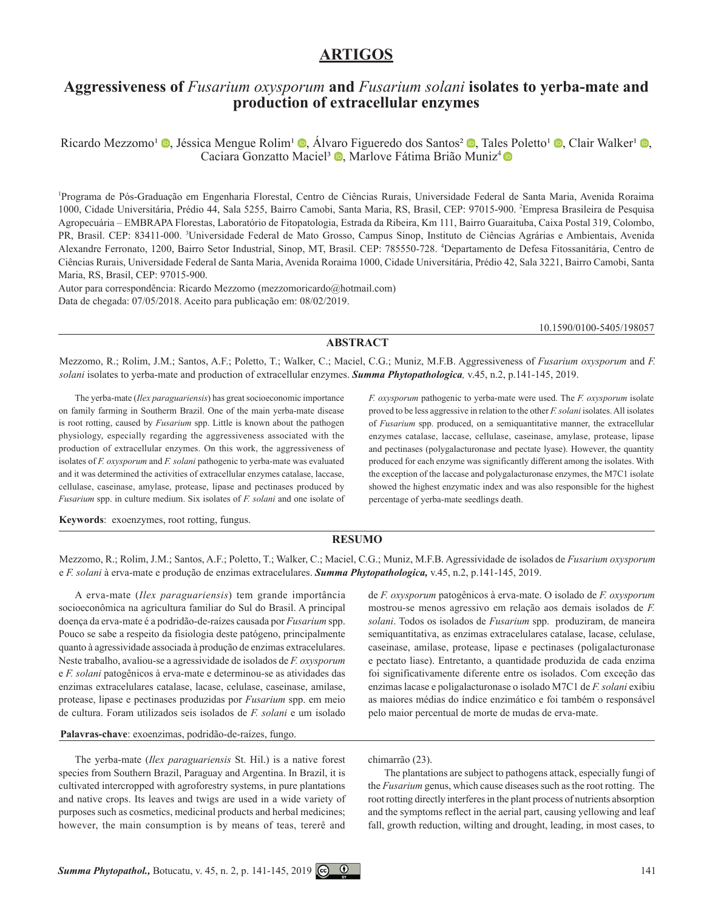## **ARTIGOS**

# **Aggressiveness of** *Fusarium oxysporum* **and** *Fusarium solani* **isolates to yerba-mate and production of extracellular enzymes**

Ricardo Mezzomo<sup>1</sup> **.** Jéssica Mengue Rolim<sup>1</sup> **.** Álvaro Figueredo dos Santos<sup>2</sup> . Tales Poletto<sup>1</sup> . Clair Walker<sup>1</sup> . Caciara Gonzatto Maciel<sup>3</sup> <sup>(0</sup>, Marlove Fátima Brião Muniz<sup>4</sup> <sup>(0)</sup>

1 Programa de Pós-Graduação em Engenharia Florestal, Centro de Ciências Rurais, Universidade Federal de Santa Maria, Avenida Roraima 1000, Cidade Universitária, Prédio 44, Sala 5255, Bairro Camobi, Santa Maria, RS, Brasil, CEP: 97015-900. 2 Empresa Brasileira de Pesquisa Agropecuária – EMBRAPA Florestas, Laboratório de Fitopatologia, Estrada da Ribeira, Km 111, Bairro Guaraituba, Caixa Postal 319, Colombo, PR, Brasil. CEP: 83411-000. <sup>3</sup>Universidade Federal de Mato Grosso, Campus Sinop, Instituto de Ciências Agrárias e Ambientais, Avenida Alexandre Ferronato, 1200, Bairro Setor Industrial, Sinop, MT, Brasil. CEP: 785550-728. 4 Departamento de Defesa Fitossanitária, Centro de Ciências Rurais, Universidade Federal de Santa Maria, Avenida Roraima 1000, Cidade Universitária, Prédio 42, Sala 3221, Bairro Camobi, Santa Maria, RS, Brasil, CEP: 97015-900.

Autor para correspondência: Ricardo Mezzomo (mezzomoricardo@hotmail.com) Data de chegada: 07/05/2018. Aceito para publicação em: 08/02/2019.

[10.1590/0100-5405/](http://dx.doi.org/10.1590/0100-5405/172270)198057

## **ABSTRACT**

Mezzomo, R.; Rolim, J.M.; Santos, A.F.; Poletto, T.; Walker, C.; Maciel, C.G.; Muniz, M.F.B. Aggressiveness of *Fusarium oxysporum* and *F. solani* isolates to yerba-mate and production of extracellular enzymes. *Summa Phytopathologica,* v.45, n.2, p.141-145, 2019.

The yerba-mate (*Ilex paraguariensis*) has great socioeconomic importance on family farming in Southerm Brazil. One of the main yerba-mate disease is root rotting, caused by *Fusarium* spp. Little is known about the pathogen physiology, especially regarding the aggressiveness associated with the production of extracellular enzymes. On this work, the aggressiveness of isolates of *F. oxysporum* and *F. solani* pathogenic to yerba-mate was evaluated and it was determined the activities of extracellular enzymes catalase, laccase, cellulase, caseinase, amylase, protease, lipase and pectinases produced by *Fusarium* spp. in culture medium. Six isolates of *F. solani* and one isolate of *F. oxysporum* pathogenic to yerba-mate were used. The *F. oxysporum* isolate proved to be less aggressive in relation to the other *F. solani* isolates. All isolates of *Fusarium* spp. produced, on a semiquantitative manner, the extracellular enzymes catalase, laccase, cellulase, caseinase, amylase, protease, lipase and pectinases (polygalacturonase and pectate lyase). However, the quantity produced for each enzyme was significantly different among the isolates. With the exception of the laccase and polygalacturonase enzymes, the M7C1 isolate showed the highest enzymatic index and was also responsible for the highest percentage of yerba-mate seedlings death.

**Keywords**: exoenzymes, root rotting, fungus.

### **RESUMO**

Mezzomo, R.; Rolim, J.M.; Santos, A.F.; Poletto, T.; Walker, C.; Maciel, C.G.; Muniz, M.F.B. Agressividade de isolados de *Fusarium oxysporum* e *F. solani* à erva-mate e produção de enzimas extracelulares. *Summa Phytopathologica,* v.45, n.2, p.141-145, 2019.

A erva-mate (*Ilex paraguariensis*) tem grande importância socioeconômica na agricultura familiar do Sul do Brasil. A principal doença da erva-mate é a podridão-de-raízes causada por *Fusarium* spp. Pouco se sabe a respeito da fisiologia deste patógeno, principalmente quanto à agressividade associada à produção de enzimas extracelulares. Neste trabalho, avaliou-se a agressividade de isolados de *F. oxysporum* e *F. solani* patogênicos à erva-mate e determinou-se as atividades das enzimas extracelulares catalase, lacase, celulase, caseinase, amilase, protease, lipase e pectinases produzidas por *Fusarium* spp. em meio de cultura. Foram utilizados seis isolados de *F. solani* e um isolado

**Palavras-chave**: exoenzimas, podridão-de-raízes, fungo.

The yerba-mate (*Ilex paraguariensis* St. Hil.) is a native forest species from Southern Brazil, Paraguay and Argentina. In Brazil, it is cultivated intercropped with agroforestry systems, in pure plantations and native crops. Its leaves and twigs are used in a wide variety of purposes such as cosmetics, medicinal products and herbal medicines; however, the main consumption is by means of teas, tererê and

mostrou-se menos agressivo em relação aos demais isolados de *F. solani*. Todos os isolados de *Fusarium* spp. produziram, de maneira semiquantitativa, as enzimas extracelulares catalase, lacase, celulase, caseinase, amilase, protease, lipase e pectinases (poligalacturonase e pectato liase). Entretanto, a quantidade produzida de cada enzima foi significativamente diferente entre os isolados. Com exceção das enzimas lacase e poligalacturonase o isolado M7C1 de *F. solani* exibiu as maiores médias do índice enzimático e foi também o responsável pelo maior percentual de morte de mudas de erva-mate.

de *F. oxysporum* patogênicos à erva-mate. O isolado de *F. oxysporum*

## chimarrão (23).

The plantations are subject to pathogens attack, especially fungi of the *Fusarium* genus, which cause diseases such as the root rotting. The root rotting directly interferes in the plant process of nutrients absorption and the symptoms reflect in the aerial part, causing yellowing and leaf fall, growth reduction, wilting and drought, leading, in most cases, to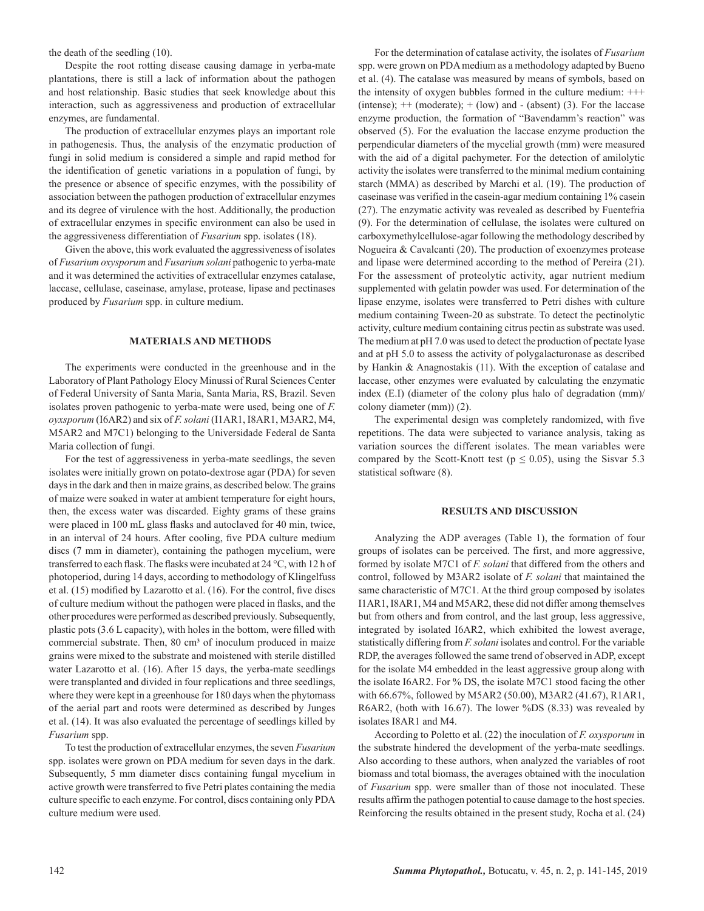the death of the seedling (10).

Despite the root rotting disease causing damage in yerba-mate plantations, there is still a lack of information about the pathogen and host relationship. Basic studies that seek knowledge about this interaction, such as aggressiveness and production of extracellular enzymes, are fundamental.

The production of extracellular enzymes plays an important role in pathogenesis. Thus, the analysis of the enzymatic production of fungi in solid medium is considered a simple and rapid method for the identification of genetic variations in a population of fungi, by the presence or absence of specific enzymes, with the possibility of association between the pathogen production of extracellular enzymes and its degree of virulence with the host. Additionally, the production of extracellular enzymes in specific environment can also be used in the aggressiveness differentiation of *Fusarium* spp. isolates (18).

Given the above, this work evaluated the aggressiveness of isolates of *Fusarium oxysporum* and *Fusarium solani* pathogenic to yerba-mate and it was determined the activities of extracellular enzymes catalase, laccase, cellulase, caseinase, amylase, protease, lipase and pectinases produced by *Fusarium* spp. in culture medium.

#### **MATERIALS AND METHODS**

The experiments were conducted in the greenhouse and in the Laboratory of Plant Pathology Elocy Minussi of Rural Sciences Center of Federal University of Santa Maria, Santa Maria, RS, Brazil. Seven isolates proven pathogenic to yerba-mate were used, being one of *F. oyxsporum* (I6AR2) and six of *F. solani* (I1AR1, I8AR1, M3AR2, M4, M5AR2 and M7C1) belonging to the Universidade Federal de Santa Maria collection of fungi.

For the test of aggressiveness in yerba-mate seedlings, the seven isolates were initially grown on potato-dextrose agar (PDA) for seven days in the dark and then in maize grains, as described below. The grains of maize were soaked in water at ambient temperature for eight hours, then, the excess water was discarded. Eighty grams of these grains were placed in 100 mL glass flasks and autoclaved for 40 min, twice, in an interval of 24 hours. After cooling, five PDA culture medium discs (7 mm in diameter), containing the pathogen mycelium, were transferred to each flask. The flasks were incubated at 24 °C, with 12 h of photoperiod, during 14 days, according to methodology of Klingelfuss et al. (15) modified by Lazarotto et al. (16). For the control, five discs of culture medium without the pathogen were placed in flasks, and the other procedures were performed as described previously. Subsequently, plastic pots (3.6 L capacity), with holes in the bottom, were filled with commercial substrate. Then, 80 cm<sup>3</sup> of inoculum produced in maize grains were mixed to the substrate and moistened with sterile distilled water Lazarotto et al. (16). After 15 days, the yerba-mate seedlings were transplanted and divided in four replications and three seedlings, where they were kept in a greenhouse for 180 days when the phytomass of the aerial part and roots were determined as described by Junges et al. (14). It was also evaluated the percentage of seedlings killed by *Fusarium* spp.

To test the production of extracellular enzymes, the seven *Fusarium* spp. isolates were grown on PDA medium for seven days in the dark. Subsequently, 5 mm diameter discs containing fungal mycelium in active growth were transferred to five Petri plates containing the media culture specific to each enzyme. For control, discs containing only PDA culture medium were used.

For the determination of catalase activity, the isolates of *Fusarium* spp. were grown on PDA medium as a methodology adapted by Bueno et al. (4). The catalase was measured by means of symbols, based on the intensity of oxygen bubbles formed in the culture medium: +++ (intense);  $++$  (moderate);  $+$  (low) and  $-$  (absent) (3). For the laccase enzyme production, the formation of "Bavendamm's reaction" was observed (5). For the evaluation the laccase enzyme production the perpendicular diameters of the mycelial growth (mm) were measured with the aid of a digital pachymeter. For the detection of amilolytic activity the isolates were transferred to the minimal medium containing starch (MMA) as described by Marchi et al. (19). The production of caseinase was verified in the casein-agar medium containing 1% casein (27). The enzymatic activity was revealed as described by Fuentefria (9). For the determination of cellulase, the isolates were cultured on carboxymethylcellulose-agar following the methodology described by Nogueira & Cavalcanti (20). The production of exoenzymes protease and lipase were determined according to the method of Pereira (21). For the assessment of proteolytic activity, agar nutrient medium supplemented with gelatin powder was used. For determination of the lipase enzyme, isolates were transferred to Petri dishes with culture medium containing Tween-20 as substrate. To detect the pectinolytic activity, culture medium containing citrus pectin as substrate was used. The medium at pH 7.0 was used to detect the production of pectate lyase and at pH 5.0 to assess the activity of polygalacturonase as described by Hankin & Anagnostakis (11). With the exception of catalase and laccase, other enzymes were evaluated by calculating the enzymatic index (E.I) (diameter of the colony plus halo of degradation (mm)/ colony diameter (mm)) (2).

The experimental design was completely randomized, with five repetitions. The data were subjected to variance analysis, taking as variation sources the different isolates. The mean variables were compared by the Scott-Knott test ( $p \le 0.05$ ), using the Sisvar 5.3 statistical software (8).

#### **RESULTS AND DISCUSSION**

Analyzing the ADP averages (Table 1), the formation of four groups of isolates can be perceived. The first, and more aggressive, formed by isolate M7C1 of *F. solani* that differed from the others and control, followed by M3AR2 isolate of *F. solani* that maintained the same characteristic of M7C1. At the third group composed by isolates I1AR1, I8AR1, M4 and M5AR2, these did not differ among themselves but from others and from control, and the last group, less aggressive, integrated by isolated I6AR2, which exhibited the lowest average, statistically differing from *F. solani* isolates and control. For the variable RDP, the averages followed the same trend of observed in ADP, except for the isolate M4 embedded in the least aggressive group along with the isolate I6AR2. For % DS, the isolate M7C1 stood facing the other with 66.67%, followed by M5AR2 (50.00), M3AR2 (41.67), R1AR1, R6AR2, (both with 16.67). The lower %DS (8.33) was revealed by isolates I8AR1 and M4.

According to Poletto et al. (22) the inoculation of *F. oxysporum* in the substrate hindered the development of the yerba-mate seedlings. Also according to these authors, when analyzed the variables of root biomass and total biomass, the averages obtained with the inoculation of *Fusarium* spp. were smaller than of those not inoculated. These results affirm the pathogen potential to cause damage to the host species. Reinforcing the results obtained in the present study, Rocha et al. (24)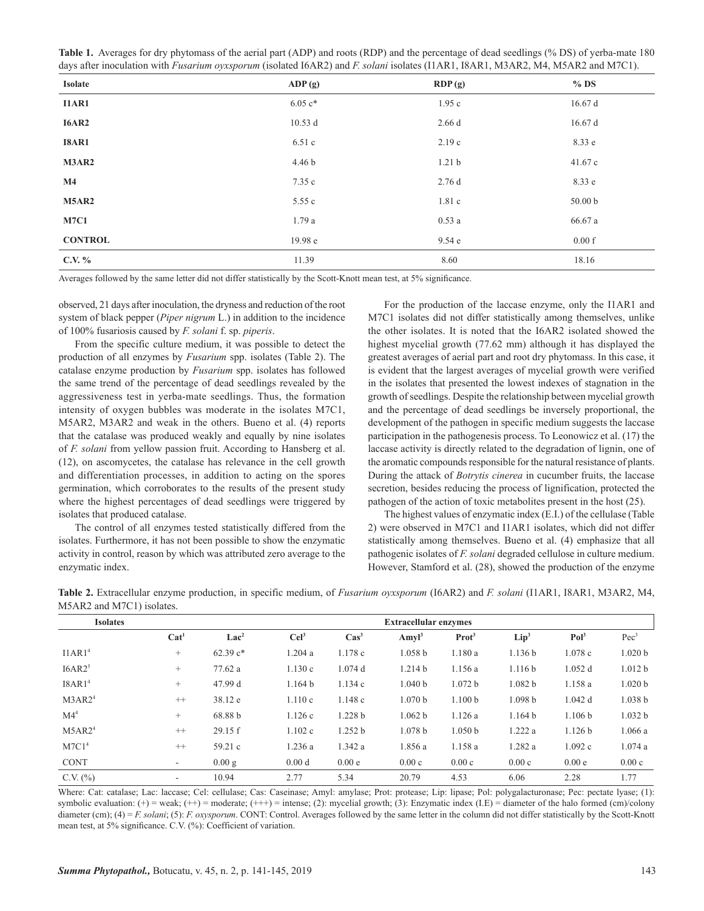| Table 1. Averages for dry phytomass of the aerial part (ADP) and roots (RDP) and the percentage of dead seedlings (% DS) of yerba-mate 180      |  |
|-------------------------------------------------------------------------------------------------------------------------------------------------|--|
| days after inoculation with <i>Fusarium oyxsporum</i> (isolated I6AR2) and <i>F. solani</i> isolates (I1AR1, I8AR1, M3AR2, M4, M5AR2 and M7C1). |  |

| Isolate        | ADP(g)    | RDP(g)            | $%$ DS             |
|----------------|-----------|-------------------|--------------------|
| <b>I1AR1</b>   | $6.05 c*$ | 1.95c             | 16.67d             |
| <b>I6AR2</b>   | 10.53d    | 2.66d             | 16.67d             |
| <b>I8AR1</b>   | 6.51c     | 2.19c             | 8.33 e             |
| M3AR2          | 4.46 b    | 1.21 <sub>b</sub> | 41.67 c            |
| $\mathbf{M}4$  | 7.35 c    | 2.76d             | 8.33 e             |
| <b>M5AR2</b>   | 5.55c     | 1.81c             | 50.00 <sub>b</sub> |
| <b>M7C1</b>    | 1.79a     | 0.53a             | 66.67 a            |
| <b>CONTROL</b> | 19.98 e   | 9.54e             | 0.00 f             |
| C.V. $%$       | 11.39     | 8.60              | 18.16              |

Averages followed by the same letter did not differ statistically by the Scott-Knott mean test, at 5% significance.

observed, 21 days after inoculation, the dryness and reduction of the root system of black pepper (*Piper nigrum* L.) in addition to the incidence of 100% fusariosis caused by *F. solani* f. sp. *piperis*.

From the specific culture medium, it was possible to detect the production of all enzymes by *Fusarium* spp. isolates (Table 2). The catalase enzyme production by *Fusarium* spp. isolates has followed the same trend of the percentage of dead seedlings revealed by the aggressiveness test in yerba-mate seedlings. Thus, the formation intensity of oxygen bubbles was moderate in the isolates M7C1, M5AR2, M3AR2 and weak in the others. Bueno et al. (4) reports that the catalase was produced weakly and equally by nine isolates of *F. solani* from yellow passion fruit. According to Hansberg et al. (12), on ascomycetes, the catalase has relevance in the cell growth and differentiation processes, in addition to acting on the spores germination, which corroborates to the results of the present study where the highest percentages of dead seedlings were triggered by isolates that produced catalase.

The control of all enzymes tested statistically differed from the isolates. Furthermore, it has not been possible to show the enzymatic activity in control, reason by which was attributed zero average to the enzymatic index.

For the production of the laccase enzyme, only the I1AR1 and M7C1 isolates did not differ statistically among themselves, unlike the other isolates. It is noted that the I6AR2 isolated showed the highest mycelial growth (77.62 mm) although it has displayed the greatest averages of aerial part and root dry phytomass. In this case, it is evident that the largest averages of mycelial growth were verified in the isolates that presented the lowest indexes of stagnation in the growth of seedlings. Despite the relationship between mycelial growth and the percentage of dead seedlings be inversely proportional, the development of the pathogen in specific medium suggests the laccase participation in the pathogenesis process. To Leonowicz et al. (17) the laccase activity is directly related to the degradation of lignin, one of the aromatic compounds responsible for the natural resistance of plants. During the attack of *Botrytis cinerea* in cucumber fruits, the laccase secretion, besides reducing the process of lignification, protected the pathogen of the action of toxic metabolites present in the host (25).

The highest values of enzymatic index (E.I.) of the cellulase (Table 2) were observed in M7C1 and I1AR1 isolates, which did not differ statistically among themselves. Bueno et al. (4) emphasize that all pathogenic isolates of *F. solani* degraded cellulose in culture medium. However, Stamford et al. (28), showed the production of the enzyme

| <b>Isolates</b>    | <b>Extracellular enzymes</b> |                  |                   |                |                    |                    |                    |                  |                    |
|--------------------|------------------------------|------------------|-------------------|----------------|--------------------|--------------------|--------------------|------------------|--------------------|
|                    | Cat <sup>1</sup>             | Lac <sup>2</sup> | $\text{Cell}^3$   | $\text{Cas}^3$ | Amyl <sup>3</sup>  | Prot <sup>3</sup>  | Lip <sup>3</sup>   | Pol <sup>3</sup> | $Pec^3$            |
| IIAR1 <sup>4</sup> | $^{+}$                       | $62.39c*$        | 1.204a            | 1.178c         | 1.058 <sub>b</sub> | 1.180a             | 1.136 b            | 1.078c           | 1.020 <sub>b</sub> |
| I6AR2 <sup>5</sup> | $^{+}$                       | 77.62 a          | 1.130c            | $1.074$ d      | 1.214 b            | 1.156a             | 1.116 b            | 1.052d           | 1.012 b            |
| I8AR1 <sup>4</sup> | $^{+}$                       | 47.99 d          | 1.164 b           | 1.134c         | 1.040 <sub>b</sub> | 1.072 b            | 1.082 <sub>b</sub> | 1.158 a          | 1.020 <sub>b</sub> |
| M3AR2 <sup>4</sup> | $^{++}$                      | 38.12 e          | 1.110c            | 1.148c         | 1.070 <sub>b</sub> | 1.100 b            | 1.098 <sub>b</sub> | $1.042$ d        | 1.038 <sub>b</sub> |
| M4 <sup>4</sup>    | $+$                          | 68.88 b          | 1.126c            | 1.228 b        | 1.062 b            | 1.126a             | 1.164 b            | 1.106 b          | 1.032 b            |
| M5AR2 <sup>4</sup> | $^{++}$                      | 29.15 f          | 1.102c            | 1.252 b        | 1.078 b            | 1.050 <sub>b</sub> | 1.222 a            | 1.126 b          | 1.066a             |
| M7C1 <sup>4</sup>  | $^{++}$                      | 59.21c           | 1.236a            | 1.342a         | 1.856 a            | 1.158a             | 1.282 a            | 1.092c           | 1.074a             |
| <b>CONT</b>        | $\sim$                       | 0.00 g           | 0.00 <sub>d</sub> | 0.00e          | 0.00c              | 0.00c              | 0.00c              | 0.00e            | 0.00c              |
| $C.V.$ $(\% )$     |                              | 10.94            | 2.77              | 5.34           | 20.79              | 4.53               | 6.06               | 2.28             | 1.77               |

**Table 2.** Extracellular enzyme production, in specific medium, of *Fusarium oyxsporum* (I6AR2) and *F. solani* (I1AR1, I8AR1, M3AR2, M4, M5AR2 and M7C1) isolates.

Where: Cat: catalase; Lac: laccase; Cel: cellulase; Cas: Caseinase; Amyl: amylase; Prot: protease; Lip: lipase; Pol: polygalacturonase; Pec: pectate lyase; (1): symbolic evaluation:  $(+)$  = weak;  $(++)$  = moderate;  $(++)$  = intense; (2): mycelial growth; (3): Enzymatic index (I.E) = diameter of the halo formed (cm)/colony diameter (cm); (4) = *F. solani*; (5): *F. oxysporum*. CONT: Control. Averages followed by the same letter in the column did not differ statistically by the Scott-Knott mean test, at 5% significance. C.V. (%): Coefficient of variation.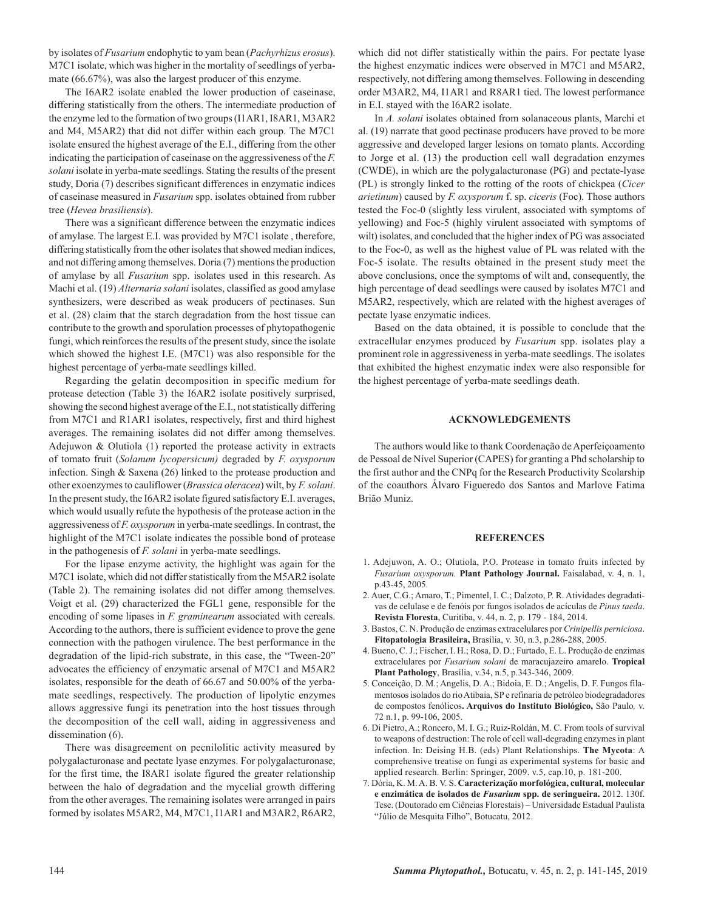by isolates of *Fusarium* endophytic to yam bean (*Pachyrhizus erosus*). M7C1 isolate, which was higher in the mortality of seedlings of yerbamate (66.67%), was also the largest producer of this enzyme.

The I6AR2 isolate enabled the lower production of caseinase, differing statistically from the others. The intermediate production of the enzyme led to the formation of two groups (I1AR1, I8AR1, M3AR2 and M4, M5AR2) that did not differ within each group. The M7C1 isolate ensured the highest average of the E.I., differing from the other indicating the participation of caseinase on the aggressiveness of the *F. solani* isolate in yerba-mate seedlings. Stating the results of the present study, Doria (7) describes significant differences in enzymatic indices of caseinase measured in *Fusarium* spp. isolates obtained from rubber tree (*Hevea brasiliensis*).

There was a significant difference between the enzymatic indices of amylase. The largest E.I. was provided by M7C1 isolate , therefore, differing statistically from the other isolates that showed median indices, and not differing among themselves. Doria (7) mentions the production of amylase by all *Fusarium* spp. isolates used in this research. As Machi et al. (19) *Alternaria solani* isolates, classified as good amylase synthesizers, were described as weak producers of pectinases. Sun et al. (28) claim that the starch degradation from the host tissue can contribute to the growth and sporulation processes of phytopathogenic fungi, which reinforces the results of the present study, since the isolate which showed the highest I.E. (M7C1) was also responsible for the highest percentage of yerba-mate seedlings killed.

Regarding the gelatin decomposition in specific medium for protease detection (Table 3) the I6AR2 isolate positively surprised, showing the second highest average of the E.I., not statistically differing from M7C1 and R1AR1 isolates, respectively, first and third highest averages. The remaining isolates did not differ among themselves. Adejuwon & Olutiola (1) reported the protease activity in extracts of tomato fruit (*Solanum lycopersicum)* degraded by *F. oxysporum*  infection. Singh & Saxena (26) linked to the protease production and other exoenzymes to cauliflower (*Brassica oleracea*) wilt, by *F. solani*. In the present study, the I6AR2 isolate figured satisfactory E.I. averages, which would usually refute the hypothesis of the protease action in the aggressiveness of *F. oxysporum* in yerba-mate seedlings. In contrast, the highlight of the M7C1 isolate indicates the possible bond of protease in the pathogenesis of *F. solani* in yerba-mate seedlings.

For the lipase enzyme activity, the highlight was again for the M7C1 isolate, which did not differ statistically from the M5AR2 isolate (Table 2). The remaining isolates did not differ among themselves. Voigt et al. (29) characterized the FGL1 gene, responsible for the encoding of some lipases in *F. graminearum* associated with cereals. According to the authors, there is sufficient evidence to prove the gene connection with the pathogen virulence. The best performance in the degradation of the lipid-rich substrate, in this case, the "Tween-20" advocates the efficiency of enzymatic arsenal of M7C1 and M5AR2 isolates, responsible for the death of 66.67 and 50.00% of the yerbamate seedlings, respectively. The production of lipolytic enzymes allows aggressive fungi its penetration into the host tissues through the decomposition of the cell wall, aiding in aggressiveness and dissemination (6).

There was disagreement on pecnilolitic activity measured by polygalacturonase and pectate lyase enzymes. For polygalacturonase, for the first time, the I8AR1 isolate figured the greater relationship between the halo of degradation and the mycelial growth differing from the other averages. The remaining isolates were arranged in pairs formed by isolates M5AR2, M4, M7C1, I1AR1 and M3AR2, R6AR2, which did not differ statistically within the pairs. For pectate lyase the highest enzymatic indices were observed in M7C1 and M5AR2, respectively, not differing among themselves. Following in descending order M3AR2, M4, I1AR1 and R8AR1 tied. The lowest performance in E.I. stayed with the I6AR2 isolate.

In *A. solani* isolates obtained from solanaceous plants, Marchi et al. (19) narrate that good pectinase producers have proved to be more aggressive and developed larger lesions on tomato plants. According to Jorge et al. (13) the production cell wall degradation enzymes (CWDE), in which are the polygalacturonase (PG) and pectate-lyase (PL) is strongly linked to the rotting of the roots of chickpea (*Cicer arietinum*) caused by *F. oxysporum* f. sp. *ciceris* (Foc)*.* Those authors tested the Foc-0 (slightly less virulent, associated with symptoms of yellowing) and Foc-5 (highly virulent associated with symptoms of wilt) isolates, and concluded that the higher index of PG was associated to the Foc-0, as well as the highest value of PL was related with the Foc-5 isolate. The results obtained in the present study meet the above conclusions, once the symptoms of wilt and, consequently, the high percentage of dead seedlings were caused by isolates M7C1 and M5AR2, respectively, which are related with the highest averages of pectate lyase enzymatic indices.

Based on the data obtained, it is possible to conclude that the extracellular enzymes produced by *Fusarium* spp. isolates play a prominent role in aggressiveness in yerba-mate seedlings. The isolates that exhibited the highest enzymatic index were also responsible for the highest percentage of yerba-mate seedlings death.

### **ACKNOWLEDGEMENTS**

The authors would like to thank Coordenação de Aperfeiçoamento de Pessoal de Nível Superior (CAPES) for granting a Phd scholarship to the first author and the CNPq for the Research Productivity Scolarship of the coauthors Álvaro Figueredo dos Santos and Marlove Fatima Brião Muniz.

#### **REFERENCES**

- 1. Adejuwon, A. O.; Olutiola, P.O. Protease in tomato fruits infected by *Fusarium oxysporum.* **Plant Pathology Journal.** Faisalabad, v. 4, n. 1, p.43-45, 2005.
- 02. Auer, C.G.; Amaro, T.; Pimentel, I. C.; Dalzoto, P. R. Atividades degradativas de celulase e de fenóis por fungos isolados de acículas de *Pinus taeda*. **Revista Floresta**, Curitiba, v. 44, n. 2, p. 179 - 184, 2014.
- 03. Bastos, C. N. Produção de enzimas extracelulares por *Crinipellis perniciosa*. **Fitopatologia Brasileira,** Brasília, v. 30, n.3, p.286-288, 2005.
- 04. Bueno, C. J.; Fischer, I. H.; Rosa, D. D.; Furtado, E. L. Produção de enzimas extracelulares por *Fusarium solani* de maracujazeiro amarelo. **Tropical Plant Pathology**, Brasília, v.34, n.5, p.343-346, 2009.
- 05. Conceição, D. M.; Angelis, D. A.; Bidoia, E. D.; Angelis, D. F. Fungos filamentosos isolados do rio Atibaia, SP e refinaria de petróleo biodegradadores de compostos fenólicos**. Arquivos do Instituto Biológico,** São Paulo*,* v. 72 n.1, p. 99-106, 2005.
- 06. Di Pietro, A.; Roncero, M. I. G.; Ruiz-Roldán, M. C. From tools of survival to weapons of destruction: The role of cell wall-degrading enzymes in plant infection. In: Deising H.B. (eds) Plant Relationships. **The Mycota**: A comprehensive treatise on fungi as experimental systems for basic and applied research. Berlin: Springer, 2009. v.5, cap.10, p. 181-200.
- 07. Dória, K. M. A. B. V. S. **Caracterização morfológica, cultural, molecular e enzimática de isolados de** *Fusarium* **spp. de seringueira.** 2012. 130f. Tese. (Doutorado em Ciências Florestais) – Universidade Estadual Paulista "Júlio de Mesquita Filho", Botucatu, 2012.